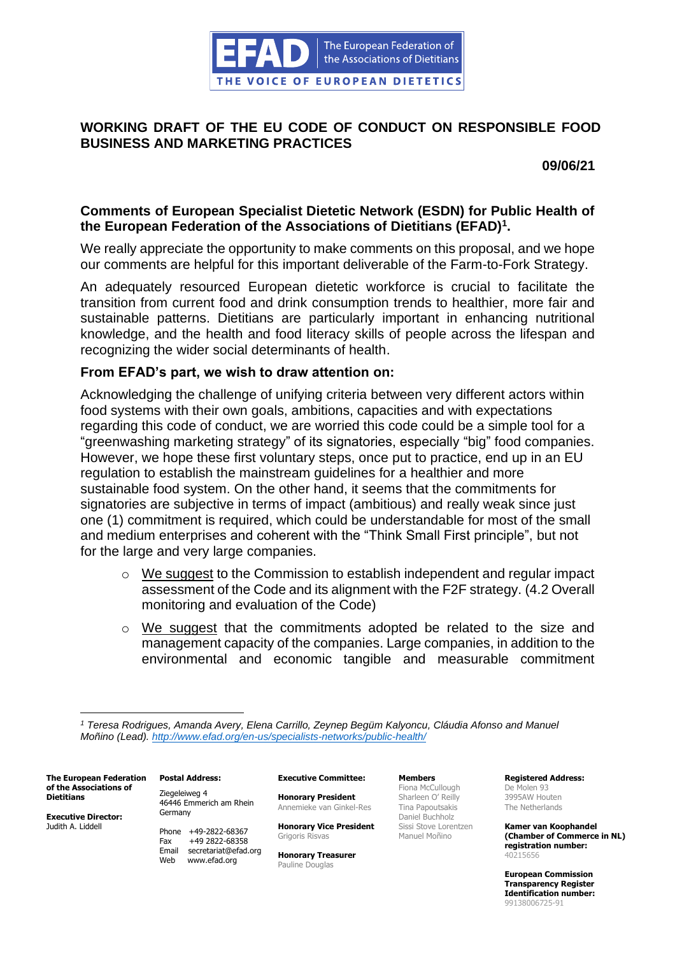

# **WORKING DRAFT OF THE EU CODE OF CONDUCT ON RESPONSIBLE FOOD BUSINESS AND MARKETING PRACTICES**

**09/06/21**

# **Comments of European Specialist Dietetic Network (ESDN) for Public Health of the European Federation of the Associations of Dietitians (EFAD)<sup>1</sup> .**

We really appreciate the opportunity to make comments on this proposal, and we hope our comments are helpful for this important deliverable of the Farm-to-Fork Strategy.

An adequately resourced European dietetic workforce is crucial to facilitate the transition from current food and drink consumption trends to healthier, more fair and sustainable patterns. Dietitians are particularly important in enhancing nutritional knowledge, and the health and food literacy skills of people across the lifespan and recognizing the wider social determinants of health.

# **From EFAD's part, we wish to draw attention on:**

Acknowledging the challenge of unifying criteria between very different actors within food systems with their own goals, ambitions, capacities and with expectations regarding this code of conduct, we are worried this code could be a simple tool for a "greenwashing marketing strategy" of its signatories, especially "big" food companies. However, we hope these first voluntary steps, once put to practice, end up in an EU regulation to establish the mainstream guidelines for a healthier and more sustainable food system. On the other hand, it seems that the commitments for signatories are subjective in terms of impact (ambitious) and really weak since just one (1) commitment is required, which could be understandable for most of the small and medium enterprises and coherent with the "Think Small First principle", but not for the large and very large companies.

- o We suggest to the Commission to establish independent and regular impact assessment of the Code and its alignment with the F2F strategy. (4.2 Overall monitoring and evaluation of the Code)
- $\circ$  We suggest that the commitments adopted be related to the size and management capacity of the companies. Large companies, in addition to the environmental and economic tangible and measurable commitment

**The European Federation of the Associations of Dietitians**

**Executive Director:** Judith A. Liddell

**Postal Address:** Ziegeleiweg 4 46446 Emmerich am Rhein Germany

Phone +49-2822-68367 Fax +49 2822-68358 Email secretariat@efad.org Web www.efad.org

## **Executive Committee:**

**Honorary President** Annemieke van Ginkel-Res

**Honorary Vice President** Grigoris Risvas

**Honorary Treasurer** Pauline Douglas

**Members** Fiona McCullough Sharleen O' Reilly Tina Papoutsakis Daniel Buchholz Sissi Stove Lorentzen Manuel Moñino

**Registered Address:** De Molen 93 3995AW Houten The Netherlands

**Kamer van Koophandel (Chamber of Commerce in NL) registration number:** 40215656

*<sup>1</sup> Teresa Rodrigues, Amanda Avery, Elena Carrillo, Zeynep Begüm Kalyoncu, Cláudia Afonso and Manuel Moñino (Lead).<http://www.efad.org/en-us/specialists-networks/public-health/>*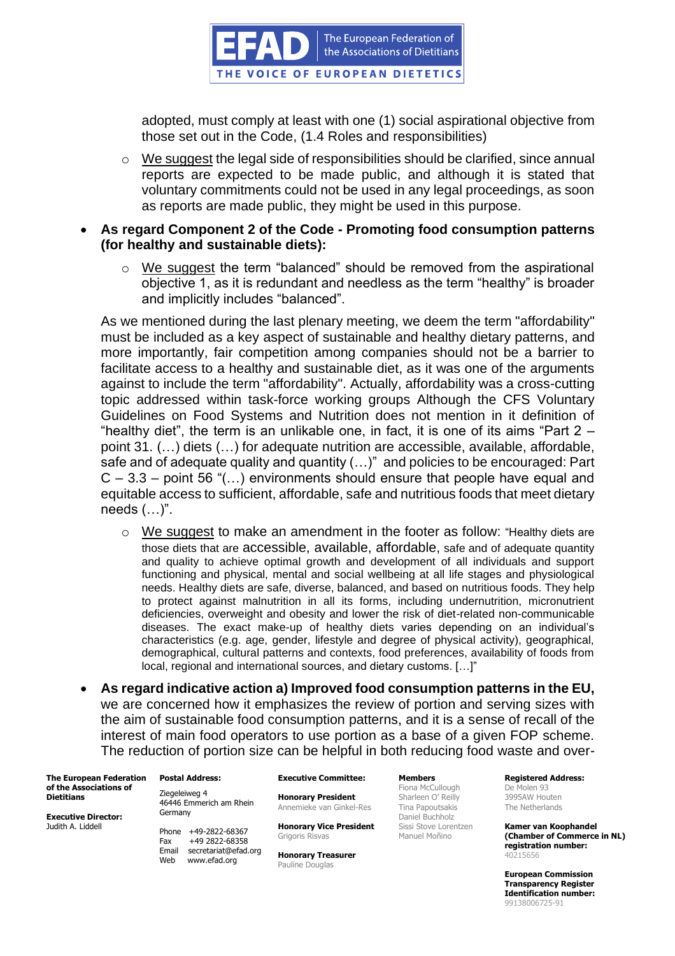

adopted, must comply at least with one (1) social aspirational objective from those set out in the Code, (1.4 Roles and responsibilities)

o We suggest the legal side of responsibilities should be clarified, since annual reports are expected to be made public, and although it is stated that voluntary commitments could not be used in any legal proceedings, as soon as reports are made public, they might be used in this purpose.

## • **As regard Component 2 of the Code - Promoting food consumption patterns (for healthy and sustainable diets):**

o We suggest the term "balanced" should be removed from the aspirational objective 1, as it is redundant and needless as the term "healthy" is broader and implicitly includes "balanced".

As we mentioned during the last plenary meeting, we deem the term "affordability" must be included as a key aspect of sustainable and healthy dietary patterns, and more importantly, fair competition among companies should not be a barrier to facilitate access to a healthy and sustainable diet, as it was one of the arguments against to include the term "affordability". Actually, affordability was a cross-cutting topic addressed within task-force working groups Although the CFS Voluntary Guidelines on Food Systems and Nutrition does not mention in it definition of "healthy diet", the term is an unlikable one, in fact, it is one of its aims "Part  $2$ point 31. (…) diets (…) for adequate nutrition are accessible, available, affordable, safe and of adequate quality and quantity (…)" and policies to be encouraged: Part  $C - 3.3$  – point 56 "(...) environments should ensure that people have equal and equitable access to sufficient, affordable, safe and nutritious foods that meet dietary needs (…)".

- $\circ$  We suggest to make an amendment in the footer as follow: "Healthy diets are those diets that are accessible, available, affordable, safe and of adequate quantity and quality to achieve optimal growth and development of all individuals and support functioning and physical, mental and social wellbeing at all life stages and physiological needs. Healthy diets are safe, diverse, balanced, and based on nutritious foods. They help to protect against malnutrition in all its forms, including undernutrition, micronutrient deficiencies, overweight and obesity and lower the risk of diet-related non-communicable diseases. The exact make-up of healthy diets varies depending on an individual's characteristics (e.g. age, gender, lifestyle and degree of physical activity), geographical, demographical, cultural patterns and contexts, food preferences, availability of foods from local, regional and international sources, and dietary customs. […]"
- **As regard indicative action a) Improved food consumption patterns in the EU,**  we are concerned how it emphasizes the review of portion and serving sizes with the aim of sustainable food consumption patterns, and it is a sense of recall of the interest of main food operators to use portion as a base of a given FOP scheme. The reduction of portion size can be helpful in both reducing food waste and over-

**The European Federation of the Associations of Dietitians**

**Executive Director:** Judith A. Liddell

Ziegeleiweg 4 46446 Emmerich am Rhein Germany

**Postal Address:**

Phone +49-2822-68367 Fax +49 2822-68358 Email secretariat@efad.org Web www.efad.org

## **Executive Committee:**

**Honorary President** Annemieke van Ginkel-Res

**Honorary Vice President** Grigoris Risvas

**Honorary Treasurer** Pauline Douglas

**Members** Fiona McCullough Sharleen O' Reilly Tina Papoutsakis Daniel Buchholz Sissi Stove Lorentzen Manuel Moñino

**Registered Address:** De Molen 93 3995AW Houten The Netherlands

**Kamer van Koophandel (Chamber of Commerce in NL) registration number:** 40215656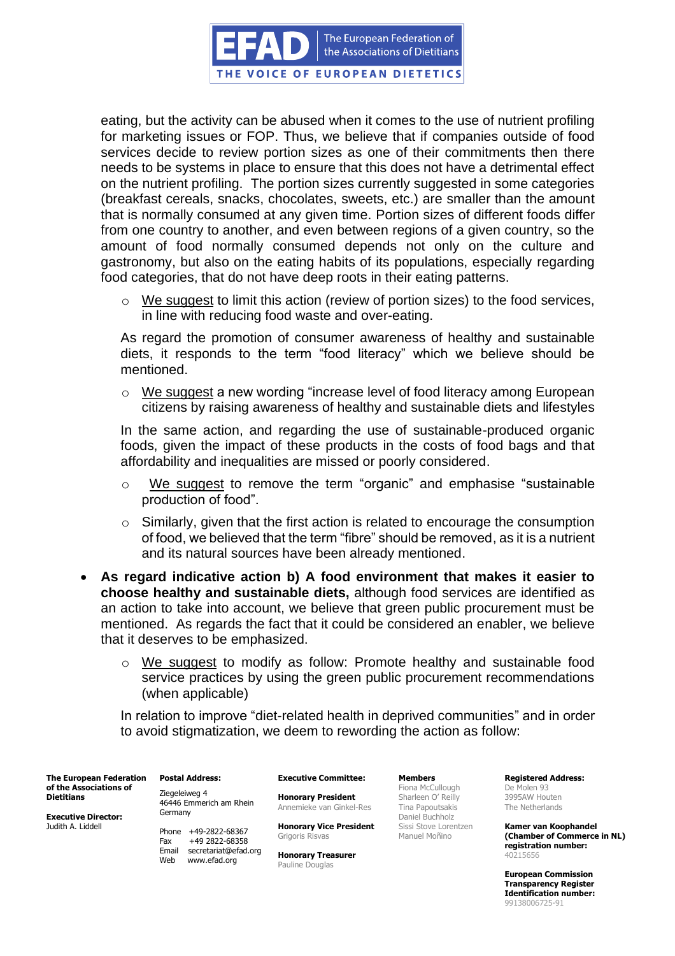The European Federation of the Associations of Dietitians

THE VOICE OF EUROPEAN DIETETICS

eating, but the activity can be abused when it comes to the use of nutrient profiling for marketing issues or FOP. Thus, we believe that if companies outside of food services decide to review portion sizes as one of their commitments then there needs to be systems in place to ensure that this does not have a detrimental effect on the nutrient profiling. The portion sizes currently suggested in some categories (breakfast cereals, snacks, chocolates, sweets, etc.) are smaller than the amount that is normally consumed at any given time. Portion sizes of different foods differ from one country to another, and even between regions of a given country, so the amount of food normally consumed depends not only on the culture and gastronomy, but also on the eating habits of its populations, especially regarding food categories, that do not have deep roots in their eating patterns.

o We suggest to limit this action (review of portion sizes) to the food services, in line with reducing food waste and over-eating.

As regard the promotion of consumer awareness of healthy and sustainable diets, it responds to the term "food literacy" which we believe should be mentioned.

o We suggest a new wording "increase level of food literacy among European citizens by raising awareness of healthy and sustainable diets and lifestyles

In the same action, and regarding the use of sustainable-produced organic foods, given the impact of these products in the costs of food bags and that affordability and inequalities are missed or poorly considered.

- o We suggest to remove the term "organic" and emphasise "sustainable production of food".
- $\circ$  Similarly, given that the first action is related to encourage the consumption of food, we believed that the term "fibre" should be removed, as it is a nutrient and its natural sources have been already mentioned.
- **As regard indicative action b) A food environment that makes it easier to choose healthy and sustainable diets,** although food services are identified as an action to take into account, we believe that green public procurement must be mentioned. As regards the fact that it could be considered an enabler, we believe that it deserves to be emphasized.
	- o We suggest to modify as follow: Promote healthy and sustainable food service practices by using the green public procurement recommendations (when applicable)

In relation to improve "diet-related health in deprived communities" and in order to avoid stigmatization, we deem to rewording the action as follow:

**The European Federation of the Associations of Dietitians**

**Executive Director:** Judith A. Liddell

**Postal Address:** Ziegeleiweg 4 46446 Emmerich am Rhein

Germany

Phone +49-2822-68367 Fax +49 2822-68358 Email secretariat@efad.org Web www.efad.org

**Executive Committee:**

**Honorary President** Annemieke van Ginkel-Res

**Honorary Vice President** Grigoris Risvas

**Honorary Treasurer** Pauline Douglas

**Members** Fiona McCullough Sharleen O' Reilly Tina Papoutsakis Daniel Buchholz Sissi Stove Lorentzen Manuel Moñino

**Registered Address:** De Molen 93 3995AW Houten The Netherlands

**Kamer van Koophandel (Chamber of Commerce in NL) registration number:** 40215656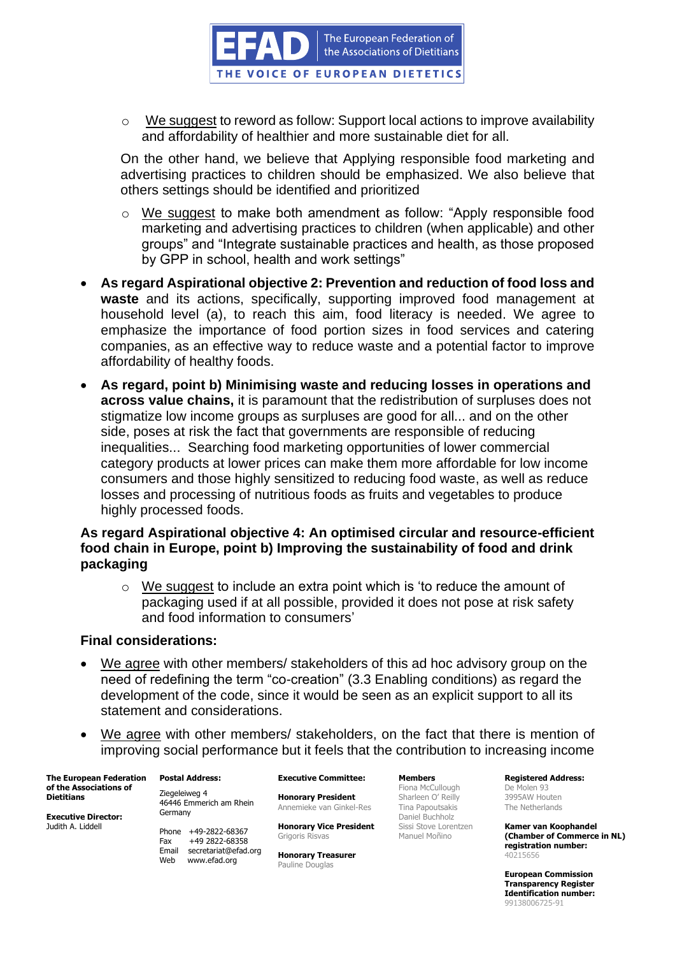

o We suggest to reword as follow: Support local actions to improve availability and affordability of healthier and more sustainable diet for all.

On the other hand, we believe that Applying responsible food marketing and advertising practices to children should be emphasized. We also believe that others settings should be identified and prioritized

- o We suggest to make both amendment as follow: "Apply responsible food marketing and advertising practices to children (when applicable) and other groups" and "Integrate sustainable practices and health, as those proposed by GPP in school, health and work settings"
- **As regard Aspirational objective 2: Prevention and reduction of food loss and waste** and its actions, specifically, supporting improved food management at household level (a), to reach this aim, food literacy is needed. We agree to emphasize the importance of food portion sizes in food services and catering companies, as an effective way to reduce waste and a potential factor to improve affordability of healthy foods.
- **As regard, point b) Minimising waste and reducing losses in operations and across value chains,** it is paramount that the redistribution of surpluses does not stigmatize low income groups as surpluses are good for all... and on the other side, poses at risk the fact that governments are responsible of reducing inequalities... Searching food marketing opportunities of lower commercial category products at lower prices can make them more affordable for low income consumers and those highly sensitized to reducing food waste, as well as reduce losses and processing of nutritious foods as fruits and vegetables to produce highly processed foods.

# **As regard Aspirational objective 4: An optimised circular and resource-efficient food chain in Europe, point b) Improving the sustainability of food and drink packaging**

 $\circ$  We suggest to include an extra point which is 'to reduce the amount of packaging used if at all possible, provided it does not pose at risk safety and food information to consumers'

## **Final considerations:**

- We agree with other members/ stakeholders of this ad hoc advisory group on the need of redefining the term "co-creation" (3.3 Enabling conditions) as regard the development of the code, since it would be seen as an explicit support to all its statement and considerations.
- We agree with other members/ stakeholders, on the fact that there is mention of improving social performance but it feels that the contribution to increasing income

**The European Federation of the Associations of Dietitians**

**Executive Director:** Judith A. Liddell

**Postal Address:** Ziegeleiweg 4 46446 Emmerich am Rhein Germany

Phone +49-2822-68367 Fax +49 2822-68358 Email secretariat@efad.org Web www.efad.org

## **Executive Committee:**

**Honorary President** Annemieke van Ginkel-Res

**Honorary Vice President** Grigoris Risvas

**Honorary Treasurer** Pauline Douglas

**Members** Fiona McCullough Sharleen O' Reilly Tina Papoutsakis Daniel Buchholz Sissi Stove Lorentzen Manuel Moñino

**Registered Address:** De Molen 93 3995AW Houten The Netherlands

**Kamer van Koophandel (Chamber of Commerce in NL) registration number:** 40215656